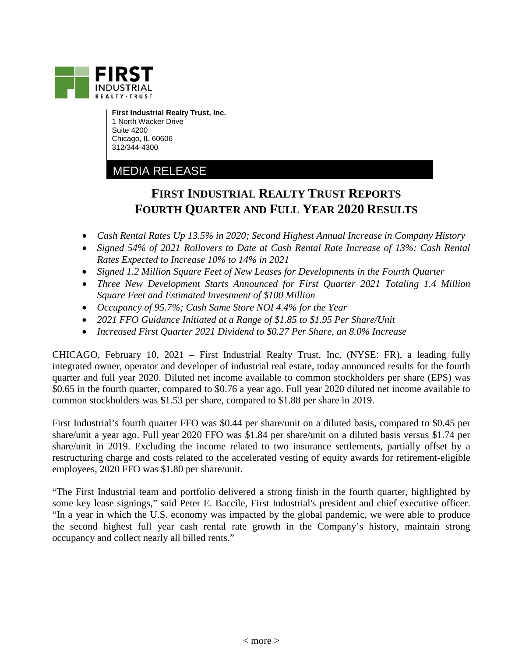

**First Industrial Realty Trust, Inc.** 1 North Wacker Drive Suite 4200 Chicago, IL 60606 312/344-4300

## MEDIA RELEASE

# **FIRST INDUSTRIAL REALTY TRUST REPORTS FOURTH QUARTER AND FULL YEAR 2020 RESULTS**

- *Cash Rental Rates Up 13.5% in 2020; Second Highest Annual Increase in Company History*
- *Signed 54% of 2021 Rollovers to Date at Cash Rental Rate Increase of 13%; Cash Rental Rates Expected to Increase 10% to 14% in 2021*
- *Signed 1.2 Million Square Feet of New Leases for Developments in the Fourth Quarter*
- *Three New Development Starts Announced for First Quarter 2021 Totaling 1.4 Million Square Feet and Estimated Investment of \$100 Million*
- *Occupancy of 95.7%; Cash Same Store NOI 4.4% for the Year*
- *2021 FFO Guidance Initiated at a Range of \$1.85 to \$1.95 Per Share/Unit*
- *Increased First Quarter 2021 Dividend to \$0.27 Per Share, an 8.0% Increase*

CHICAGO, February 10, 2021 – First Industrial Realty Trust, Inc. (NYSE: FR), a leading fully integrated owner, operator and developer of industrial real estate, today announced results for the fourth quarter and full year 2020. Diluted net income available to common stockholders per share (EPS) was \$0.65 in the fourth quarter, compared to \$0.76 a year ago. Full year 2020 diluted net income available to common stockholders was \$1.53 per share, compared to \$1.88 per share in 2019.

First Industrial's fourth quarter FFO was \$0.44 per share/unit on a diluted basis, compared to \$0.45 per share/unit a year ago. Full year 2020 FFO was \$1.84 per share/unit on a diluted basis versus \$1.74 per share/unit in 2019. Excluding the income related to two insurance settlements, partially offset by a restructuring charge and costs related to the accelerated vesting of equity awards for retirement-eligible employees, 2020 FFO was \$1.80 per share/unit.

"The First Industrial team and portfolio delivered a strong finish in the fourth quarter, highlighted by some key lease signings," said Peter E. Baccile, First Industrial's president and chief executive officer. "In a year in which the U.S. economy was impacted by the global pandemic, we were able to produce the second highest full year cash rental rate growth in the Company's history, maintain strong occupancy and collect nearly all billed rents."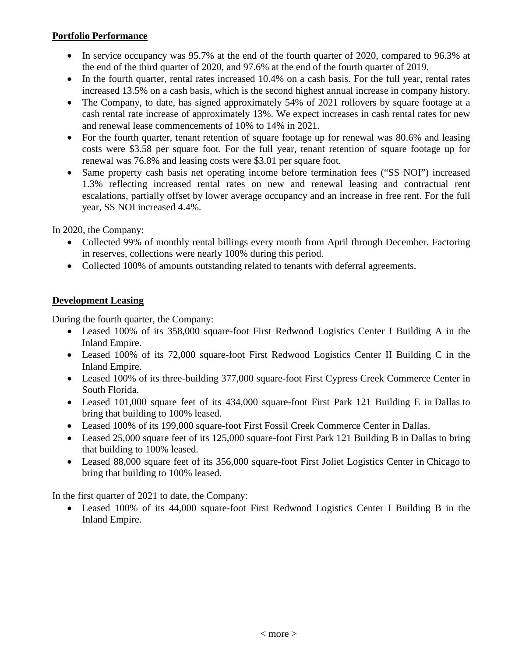#### **Portfolio Performance**

- In service occupancy was 95.7% at the end of the fourth quarter of 2020, compared to 96.3% at the end of the third quarter of 2020, and 97.6% at the end of the fourth quarter of 2019.
- In the fourth quarter, rental rates increased 10.4% on a cash basis. For the full year, rental rates increased 13.5% on a cash basis, which is the second highest annual increase in company history.
- The Company, to date, has signed approximately 54% of 2021 rollovers by square footage at a cash rental rate increase of approximately 13%. We expect increases in cash rental rates for new and renewal lease commencements of 10% to 14% in 2021.
- For the fourth quarter, tenant retention of square footage up for renewal was 80.6% and leasing costs were \$3.58 per square foot. For the full year, tenant retention of square footage up for renewal was 76.8% and leasing costs were \$3.01 per square foot.
- Same property cash basis net operating income before termination fees ("SS NOI") increased 1.3% reflecting increased rental rates on new and renewal leasing and contractual rent escalations, partially offset by lower average occupancy and an increase in free rent. For the full year, SS NOI increased 4.4%.

In 2020, the Company:

- Collected 99% of monthly rental billings every month from April through December. Factoring in reserves, collections were nearly 100% during this period.
- Collected 100% of amounts outstanding related to tenants with deferral agreements.

### **Development Leasing**

During the fourth quarter, the Company:

- Leased 100% of its 358,000 square-foot First Redwood Logistics Center I Building A in the Inland Empire.
- Leased 100% of its 72,000 square-foot First Redwood Logistics Center II Building C in the Inland Empire.
- Leased 100% of its three-building 377,000 square-foot First Cypress Creek Commerce Center in South Florida.
- Leased 101,000 square feet of its 434,000 square-foot First Park 121 Building E in Dallas to bring that building to 100% leased.
- Leased 100% of its 199,000 square-foot First Fossil Creek Commerce Center in Dallas.
- Leased 25,000 square feet of its 125,000 square-foot First Park 121 Building B in Dallas to bring that building to 100% leased.
- Leased 88,000 square feet of its 356,000 square-foot First Joliet Logistics Center in Chicago to bring that building to 100% leased.

In the first quarter of 2021 to date, the Company:

• Leased 100% of its 44,000 square-foot First Redwood Logistics Center I Building B in the Inland Empire.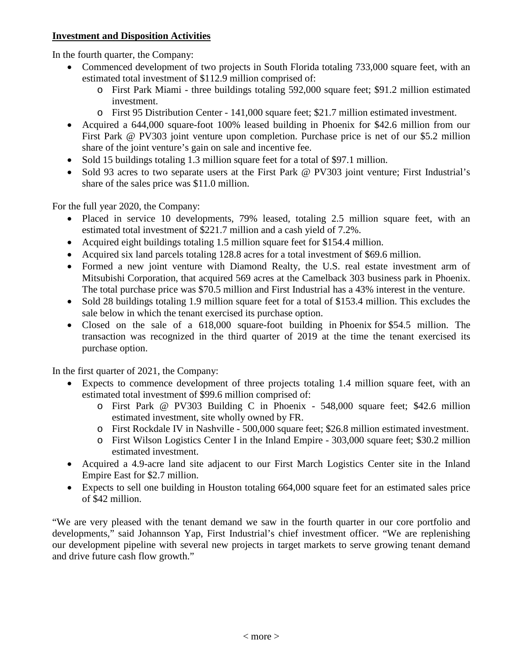#### **Investment and Disposition Activities**

In the fourth quarter, the Company:

- Commenced development of two projects in South Florida totaling 733,000 square feet, with an estimated total investment of \$112.9 million comprised of:
	- o First Park Miami three buildings totaling 592,000 square feet; \$91.2 million estimated investment.
	- o First 95 Distribution Center 141,000 square feet; \$21.7 million estimated investment.
- Acquired a 644,000 square-foot 100% leased building in Phoenix for \$42.6 million from our First Park @ PV303 joint venture upon completion. Purchase price is net of our \$5.2 million share of the joint venture's gain on sale and incentive fee.
- Sold 15 buildings totaling 1.3 million square feet for a total of \$97.1 million.
- Sold 93 acres to two separate users at the First Park @ PV303 joint venture; First Industrial's share of the sales price was \$11.0 million.

For the full year 2020, the Company:

- Placed in service 10 developments, 79% leased, totaling 2.5 million square feet, with an estimated total investment of \$221.7 million and a cash yield of 7.2%.
- Acquired eight buildings totaling 1.5 million square feet for \$154.4 million.
- Acquired six land parcels totaling 128.8 acres for a total investment of \$69.6 million.
- Formed a new joint venture with Diamond Realty, the U.S. real estate investment arm of Mitsubishi Corporation, that acquired 569 acres at the Camelback 303 business park in Phoenix. The total purchase price was \$70.5 million and First Industrial has a 43% interest in the venture.
- Sold 28 buildings totaling 1.9 million square feet for a total of \$153.4 million. This excludes the sale below in which the tenant exercised its purchase option.
- Closed on the sale of a 618,000 square-foot building in Phoenix for \$54.5 million. The transaction was recognized in the third quarter of 2019 at the time the tenant exercised its purchase option.

In the first quarter of 2021, the Company:

- Expects to commence development of three projects totaling 1.4 million square feet, with an estimated total investment of \$99.6 million comprised of:
	- o First Park @ PV303 Building C in Phoenix 548,000 square feet; \$42.6 million estimated investment, site wholly owned by FR.
	- o First Rockdale IV in Nashville 500,000 square feet; \$26.8 million estimated investment.
	- o First Wilson Logistics Center I in the Inland Empire 303,000 square feet; \$30.2 million estimated investment.
- Acquired a 4.9-acre land site adjacent to our First March Logistics Center site in the Inland Empire East for \$2.7 million.
- Expects to sell one building in Houston totaling 664,000 square feet for an estimated sales price of \$42 million.

"We are very pleased with the tenant demand we saw in the fourth quarter in our core portfolio and developments," said Johannson Yap, First Industrial's chief investment officer. "We are replenishing our development pipeline with several new projects in target markets to serve growing tenant demand and drive future cash flow growth."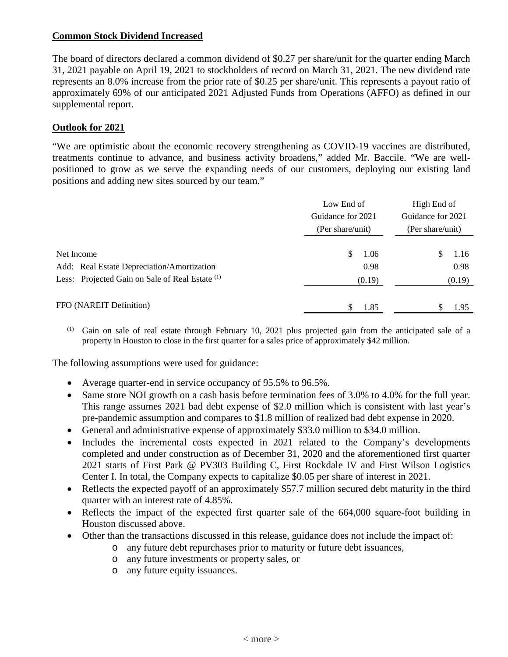#### **Common Stock Dividend Increased**

The board of directors declared a common dividend of \$0.27 per share/unit for the quarter ending March 31, 2021 payable on April 19, 2021 to stockholders of record on March 31, 2021. The new dividend rate represents an 8.0% increase from the prior rate of \$0.25 per share/unit. This represents a payout ratio of approximately 69% of our anticipated 2021 Adjusted Funds from Operations (AFFO) as defined in our supplemental report.

#### **Outlook for 2021**

"We are optimistic about the economic recovery strengthening as COVID-19 vaccines are distributed, treatments continue to advance, and business activity broadens," added Mr. Baccile. "We are wellpositioned to grow as we serve the expanding needs of our customers, deploying our existing land positions and adding new sites sourced by our team."

|                                                            | Low End of        | High End of                           |  |  |  |
|------------------------------------------------------------|-------------------|---------------------------------------|--|--|--|
|                                                            | Guidance for 2021 | Guidance for 2021<br>(Per share/unit) |  |  |  |
|                                                            | (Per share/unit)  |                                       |  |  |  |
|                                                            |                   |                                       |  |  |  |
| Net Income                                                 | S<br>1.06         | 1.16<br>S                             |  |  |  |
| Add: Real Estate Depreciation/Amortization                 | 0.98              | 0.98                                  |  |  |  |
| Less: Projected Gain on Sale of Real Estate <sup>(1)</sup> | (0.19)            | (0.19)                                |  |  |  |
|                                                            |                   |                                       |  |  |  |
| FFO (NAREIT Definition)                                    | S<br>1.85         | 1.95                                  |  |  |  |

(1) Gain on sale of real estate through February 10, 2021 plus projected gain from the anticipated sale of a property in Houston to close in the first quarter for a sales price of approximately \$42 million.

The following assumptions were used for guidance:

- Average quarter-end in service occupancy of 95.5% to 96.5%.
- Same store NOI growth on a cash basis before termination fees of 3.0% to 4.0% for the full year. This range assumes 2021 bad debt expense of \$2.0 million which is consistent with last year's pre-pandemic assumption and compares to \$1.8 million of realized bad debt expense in 2020.
- General and administrative expense of approximately \$33.0 million to \$34.0 million.
- Includes the incremental costs expected in 2021 related to the Company's developments completed and under construction as of December 31, 2020 and the aforementioned first quarter 2021 starts of First Park @ PV303 Building C, First Rockdale IV and First Wilson Logistics Center I. In total, the Company expects to capitalize \$0.05 per share of interest in 2021.
- Reflects the expected payoff of an approximately \$57.7 million secured debt maturity in the third quarter with an interest rate of 4.85%.
- Reflects the impact of the expected first quarter sale of the 664,000 square-foot building in Houston discussed above.
- Other than the transactions discussed in this release, guidance does not include the impact of:
	- o any future debt repurchases prior to maturity or future debt issuances,
	- o any future investments or property sales, or
	- o any future equity issuances.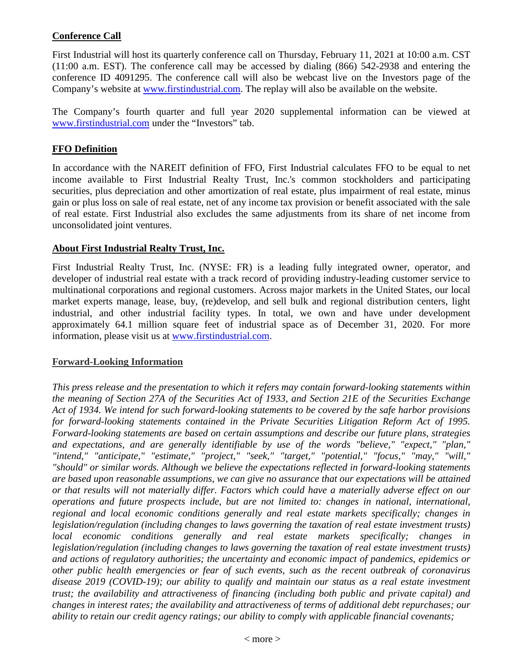### **Conference Call**

First Industrial will host its quarterly conference call on Thursday, February 11, 2021 at 10:00 a.m. CST (11:00 a.m. EST). The conference call may be accessed by dialing (866) 542-2938 and entering the conference ID 4091295. The conference call will also be webcast live on the Investors page of the Company's website at [www.firstindustrial.com.](http://www.firstindustrial.com/) The replay will also be available on the website.

The Company's fourth quarter and full year 2020 supplemental information can be viewed at [www.firstindustrial.com](http://www.firstindustrial.com/) under the "Investors" tab.

#### **FFO Definition**

In accordance with the NAREIT definition of FFO, First Industrial calculates FFO to be equal to net income available to First Industrial Realty Trust, Inc.'s common stockholders and participating securities, plus depreciation and other amortization of real estate, plus impairment of real estate, minus gain or plus loss on sale of real estate, net of any income tax provision or benefit associated with the sale of real estate. First Industrial also excludes the same adjustments from its share of net income from unconsolidated joint ventures.

#### **About First Industrial Realty Trust, Inc.**

First Industrial Realty Trust, Inc. (NYSE: FR) is a leading fully integrated owner, operator, and developer of industrial real estate with a track record of providing industry-leading customer service to multinational corporations and regional customers. Across major markets in the United States, our local market experts manage, lease, buy, (re)develop, and sell bulk and regional distribution centers, light industrial, and other industrial facility types. In total, we own and have under development approximately 64.1 million square feet of industrial space as of December 31, 2020. For more information, please visit us at [www.firstindustrial.com.](http://www.firstindustrial.com/)

#### **Forward-Looking Information**

*This press release and the presentation to which it refers may contain forward-looking statements within the meaning of Section 27A of the Securities Act of 1933, and Section 21E of the Securities Exchange Act of 1934. We intend for such forward-looking statements to be covered by the safe harbor provisions for forward-looking statements contained in the Private Securities Litigation Reform Act of 1995. Forward-looking statements are based on certain assumptions and describe our future plans, strategies and expectations, and are generally identifiable by use of the words "believe," "expect," "plan," "intend," "anticipate," "estimate," "project," "seek," "target," "potential," "focus," "may," "will," "should" or similar words. Although we believe the expectations reflected in forward-looking statements are based upon reasonable assumptions, we can give no assurance that our expectations will be attained or that results will not materially differ. Factors which could have a materially adverse effect on our operations and future prospects include, but are not limited to: changes in national, international, regional and local economic conditions generally and real estate markets specifically; changes in legislation/regulation (including changes to laws governing the taxation of real estate investment trusts) local economic conditions generally and real estate markets specifically; changes in legislation/regulation (including changes to laws governing the taxation of real estate investment trusts) and actions of regulatory authorities; the uncertainty and economic impact of pandemics, epidemics or other public health emergencies or fear of such events, such as the recent outbreak of coronavirus disease 2019 (COVID-19); our ability to qualify and maintain our status as a real estate investment trust; the availability and attractiveness of financing (including both public and private capital) and changes in interest rates; the availability and attractiveness of terms of additional debt repurchases; our ability to retain our credit agency ratings; our ability to comply with applicable financial covenants;*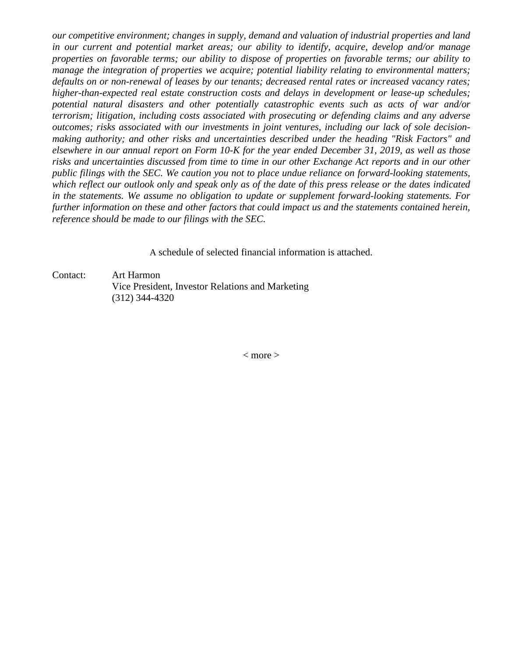*our competitive environment; changes in supply, demand and valuation of industrial properties and land in our current and potential market areas; our ability to identify, acquire, develop and/or manage properties on favorable terms; our ability to dispose of properties on favorable terms; our ability to manage the integration of properties we acquire; potential liability relating to environmental matters; defaults on or non-renewal of leases by our tenants; decreased rental rates or increased vacancy rates; higher-than-expected real estate construction costs and delays in development or lease-up schedules; potential natural disasters and other potentially catastrophic events such as acts of war and/or terrorism; litigation, including costs associated with prosecuting or defending claims and any adverse outcomes; risks associated with our investments in joint ventures, including our lack of sole decisionmaking authority; and other risks and uncertainties described under the heading "Risk Factors" and elsewhere in our annual report on Form 10-K for the year ended December 31, 2019, as well as those risks and uncertainties discussed from time to time in our other Exchange Act reports and in our other public filings with the SEC. We caution you not to place undue reliance on forward-looking statements, which reflect our outlook only and speak only as of the date of this press release or the dates indicated in the statements. We assume no obligation to update or supplement forward-looking statements. For further information on these and other factors that could impact us and the statements contained herein, reference should be made to our filings with the SEC.*

A schedule of selected financial information is attached.

Contact: Art Harmon Vice President, Investor Relations and Marketing (312) 344-4320

< more >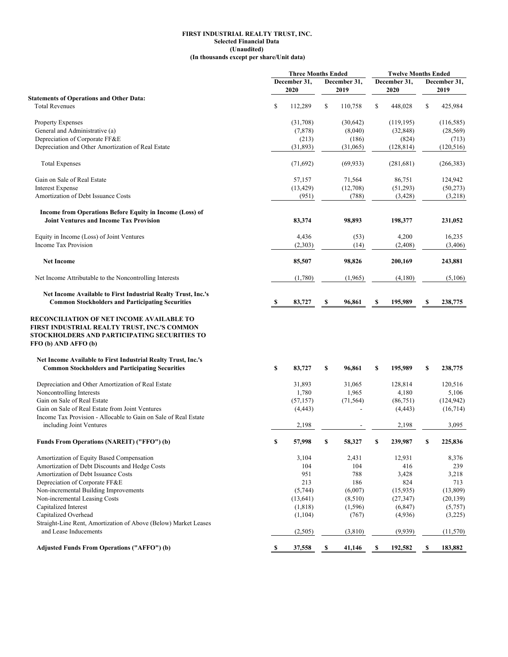#### **FIRST INDUSTRIAL REALTY TRUST, INC. Selected Financial Data (Unaudited) (In thousands except per share/Unit data)**

|                                                                                                                      |              | <b>Three Months Ended</b> |    | <b>Twelve Months Ended</b> |    |              |          |              |
|----------------------------------------------------------------------------------------------------------------------|--------------|---------------------------|----|----------------------------|----|--------------|----------|--------------|
|                                                                                                                      |              | December 31,              |    | December 31,               |    | December 31, |          | December 31, |
|                                                                                                                      |              | 2020                      |    | 2019                       |    | 2020         |          | 2019         |
| <b>Statements of Operations and Other Data:</b>                                                                      |              |                           |    |                            |    |              |          |              |
| <b>Total Revenues</b>                                                                                                | \$           | 112,289                   | \$ | 110,758                    | \$ | 448,028      | \$       | 425,984      |
| Property Expenses                                                                                                    |              | (31,708)                  |    | (30, 642)                  |    | (119, 195)   |          | (116, 585)   |
| General and Administrative (a)                                                                                       |              | (7,878)                   |    | (8,040)                    |    | (32, 848)    |          | (28, 569)    |
| Depreciation of Corporate FF&E                                                                                       |              | (213)                     |    | (186)                      |    | (824)        |          | (713)        |
| Depreciation and Other Amortization of Real Estate                                                                   |              | (31,893)                  |    | (31,065)                   |    | (128, 814)   |          | (120, 516)   |
|                                                                                                                      |              |                           |    |                            |    |              |          |              |
| <b>Total Expenses</b>                                                                                                |              | (71,692)                  |    | (69, 933)                  |    | (281, 681)   |          | (266, 383)   |
| Gain on Sale of Real Estate                                                                                          |              | 57,157                    |    | 71,564                     |    | 86,751       |          | 124,942      |
| <b>Interest Expense</b>                                                                                              |              | (13, 429)                 |    | (12,708)                   |    | (51,293)     |          | (50,273)     |
| Amortization of Debt Issuance Costs                                                                                  |              | (951)                     |    | (788)                      |    | (3, 428)     |          | (3,218)      |
| Income from Operations Before Equity in Income (Loss) of                                                             |              |                           |    |                            |    |              |          |              |
| <b>Joint Ventures and Income Tax Provision</b>                                                                       |              | 83,374                    |    | 98,893                     |    | 198,377      |          | 231,052      |
| Equity in Income (Loss) of Joint Ventures                                                                            |              | 4,436                     |    | (53)                       |    | 4,200        |          | 16,235       |
| <b>Income Tax Provision</b>                                                                                          |              | (2,303)                   |    | (14)                       |    | (2, 408)     |          | (3,406)      |
| <b>Net Income</b>                                                                                                    |              | 85,507                    |    | 98,826                     |    | 200,169      |          | 243,881      |
| Net Income Attributable to the Noncontrolling Interests                                                              |              | (1,780)                   |    | (1,965)                    |    | (4,180)      |          | (5,106)      |
| Net Income Available to First Industrial Realty Trust, Inc.'s                                                        |              |                           |    |                            |    |              |          |              |
| <b>Common Stockholders and Participating Securities</b>                                                              | S,           | 83,727                    | S  | 96,861                     | S  | 195,989      | <b>S</b> | 238,775      |
| FIRST INDUSTRIAL REALTY TRUST, INC.'S COMMON<br>STOCKHOLDERS AND PARTICIPATING SECURITIES TO<br>FFO (b) AND AFFO (b) |              |                           |    |                            |    |              |          |              |
| Net Income Available to First Industrial Realty Trust, Inc.'s                                                        |              |                           |    |                            |    |              |          |              |
| <b>Common Stockholders and Participating Securities</b>                                                              | \$           | 83,727                    | \$ | 96,861                     | \$ | 195,989      | \$       | 238,775      |
|                                                                                                                      |              |                           |    |                            |    |              |          |              |
| Depreciation and Other Amortization of Real Estate                                                                   |              | 31,893                    |    | 31,065                     |    | 128,814      |          | 120,516      |
| Noncontrolling Interests                                                                                             |              | 1,780                     |    | 1,965                      |    | 4,180        |          | 5,106        |
| Gain on Sale of Real Estate                                                                                          |              | (57, 157)                 |    | (71, 564)                  |    | (86,751)     |          | (124, 942)   |
| Gain on Sale of Real Estate from Joint Ventures                                                                      |              | (4, 443)                  |    |                            |    | (4, 443)     |          | (16,714)     |
| Income Tax Provision - Allocable to Gain on Sale of Real Estate                                                      |              |                           |    |                            |    |              |          |              |
| including Joint Ventures                                                                                             |              | 2,198                     |    |                            |    | 2,198        |          | 3,095        |
| Funds From Operations (NAREIT) ("FFO") (b)                                                                           |              | 57,998                    |    | 58,327                     |    | 239,987      |          | 225,836      |
| Amortization of Equity Based Compensation                                                                            |              | 3,104                     |    | 2,431                      |    | 12,931       |          | 8,376        |
| Amortization of Debt Discounts and Hedge Costs                                                                       |              | 104                       |    | 104                        |    | 416          |          | 239          |
| Amortization of Debt Issuance Costs                                                                                  |              | 951                       |    | 788                        |    | 3,428        |          | 3,218        |
| Depreciation of Corporate FF&E                                                                                       |              | 213                       |    | 186                        |    | 824          |          | 713          |
| Non-incremental Building Improvements                                                                                |              |                           |    |                            |    |              |          |              |
|                                                                                                                      |              | (5,744)                   |    | (6,007)                    |    | (15,935)     |          | (13,809)     |
| Non-incremental Leasing Costs                                                                                        |              | (13, 641)                 |    | (8,510)                    |    | (27, 347)    |          | (20, 139)    |
| Capitalized Interest                                                                                                 |              | (1,818)                   |    | (1, 596)                   |    | (6, 847)     |          | (5,757)      |
| Capitalized Overhead<br>Straight-Line Rent, Amortization of Above (Below) Market Leases                              |              | (1,104)                   |    | (767)                      |    | (4,936)      |          | (3,225)      |
| and Lease Inducements                                                                                                |              | (2,505)                   |    | (3,810)                    |    | (9,939)      |          | (11,570)     |
| <b>Adjusted Funds From Operations ("AFFO") (b)</b>                                                                   | $\mathbf{s}$ | 37,558                    | \$ | 41,146                     | \$ | 192,582      | \$       | 183,882      |
|                                                                                                                      |              |                           |    |                            |    |              |          |              |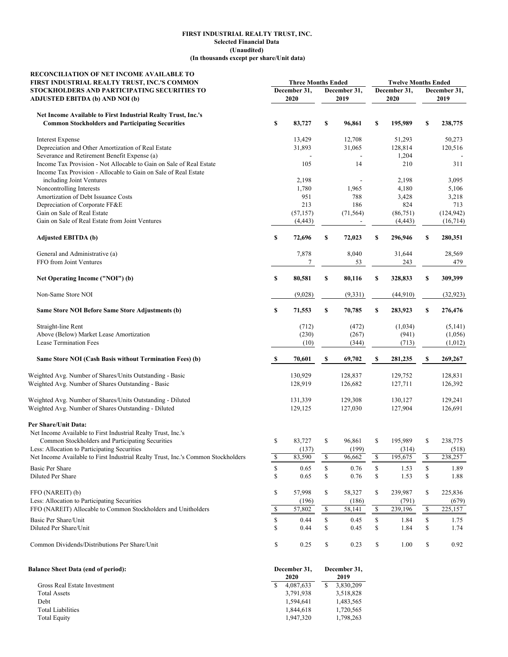#### **(Unaudited) (In thousands except per share/Unit data) FIRST INDUSTRIAL REALTY TRUST, INC. Selected Financial Data**

| RECONCILIATION OF NET INCOME AVAILABLE TO<br>FIRST INDUSTRIAL REALTY TRUST, INC.'S COMMON | <b>Three Months Ended</b> |              |    |              | <b>Twelve Months Ended</b> |              |             |                   |  |  |
|-------------------------------------------------------------------------------------------|---------------------------|--------------|----|--------------|----------------------------|--------------|-------------|-------------------|--|--|
| STOCKHOLDERS AND PARTICIPATING SECURITIES TO<br>ADJUSTED EBITDA (b) AND NOI (b)           |                           | December 31, |    | December 31, |                            | December 31, |             | December 31,      |  |  |
|                                                                                           |                           | 2020         |    | 2019         |                            | 2020         | 2019        |                   |  |  |
| Net Income Available to First Industrial Realty Trust, Inc.'s                             |                           |              |    |              |                            |              |             |                   |  |  |
| <b>Common Stockholders and Participating Securities</b>                                   | \$                        | 83,727       | \$ | 96,861       | \$                         | 195,989      | \$          | 238,775           |  |  |
| <b>Interest Expense</b>                                                                   |                           | 13,429       |    | 12,708       |                            | 51,293       |             | 50,273            |  |  |
| Depreciation and Other Amortization of Real Estate                                        |                           | 31,893       |    | 31,065       |                            | 128,814      |             | 120,516           |  |  |
| Severance and Retirement Benefit Expense (a)                                              |                           |              |    |              |                            | 1,204        |             |                   |  |  |
| Income Tax Provision - Not Allocable to Gain on Sale of Real Estate                       |                           | 105          |    | 14           |                            | 210          |             | 311               |  |  |
| Income Tax Provision - Allocable to Gain on Sale of Real Estate                           |                           |              |    |              |                            |              |             |                   |  |  |
| including Joint Ventures                                                                  |                           | 2,198        |    |              |                            | 2,198        |             | 3,095             |  |  |
| Noncontrolling Interests                                                                  |                           | 1,780        |    | 1,965        |                            | 4,180        |             | 5,106             |  |  |
| Amortization of Debt Issuance Costs<br>Depreciation of Corporate FF&E                     |                           | 951<br>213   |    | 788<br>186   |                            | 3,428<br>824 |             | 3,218             |  |  |
| Gain on Sale of Real Estate                                                               |                           | (57, 157)    |    | (71, 564)    |                            | (86,751)     |             | 713<br>(124, 942) |  |  |
| Gain on Sale of Real Estate from Joint Ventures                                           |                           | (4, 443)     |    |              |                            | (4, 443)     |             | (16, 714)         |  |  |
|                                                                                           |                           |              |    |              |                            |              |             |                   |  |  |
| <b>Adjusted EBITDA (b)</b>                                                                | \$                        | 72,696       | \$ | 72,023       | \$                         | 296,946      | \$          | 280,351           |  |  |
| General and Administrative (a)                                                            |                           | 7,878        |    | 8,040        |                            | 31,644       |             | 28,569            |  |  |
| FFO from Joint Ventures                                                                   |                           | 7            |    | 53           |                            | 243          |             | 479               |  |  |
| Net Operating Income ("NOI") (b)                                                          | \$                        | 80,581       | \$ | 80,116       | \$                         | 328,833      | \$          | 309,399           |  |  |
| Non-Same Store NOI                                                                        |                           | (9,028)      |    | (9, 331)     |                            | (44,910)     |             | (32, 923)         |  |  |
| Same Store NOI Before Same Store Adjustments (b)                                          | \$                        | 71,553       | \$ | 70,785       | \$                         | 283,923      | \$          | 276,476           |  |  |
| Straight-line Rent                                                                        |                           | (712)        |    | (472)        |                            | (1,034)      |             | (5,141)           |  |  |
| Above (Below) Market Lease Amortization                                                   |                           | (230)        |    | (267)        |                            | (941)        |             | (1,056)           |  |  |
| Lease Termination Fees                                                                    |                           | (10)         |    | (344)        |                            | (713)        |             | (1,012)           |  |  |
| Same Store NOI (Cash Basis without Termination Fees) (b)                                  | S                         | 70,601       | S  | 69,702       | S                          | 281,235      | S           | 269,267           |  |  |
| Weighted Avg. Number of Shares/Units Outstanding - Basic                                  |                           | 130,929      |    | 128,837      |                            | 129,752      |             | 128,831           |  |  |
| Weighted Avg. Number of Shares Outstanding - Basic                                        |                           | 128,919      |    | 126,682      |                            | 127,711      |             | 126,392           |  |  |
| Weighted Avg. Number of Shares/Units Outstanding - Diluted                                |                           | 131,339      |    | 129,308      |                            | 130,127      |             | 129,241           |  |  |
| Weighted Avg. Number of Shares Outstanding - Diluted                                      |                           | 129,125      |    | 127,030      |                            | 127,904      |             | 126,691           |  |  |
| Per Share/Unit Data:                                                                      |                           |              |    |              |                            |              |             |                   |  |  |
| Net Income Available to First Industrial Realty Trust, Inc.'s                             |                           |              |    |              |                            |              |             |                   |  |  |
| Common Stockholders and Participating Securities                                          | \$                        | 83,727       | \$ | 96,861       | S                          | 195,989      | \$          | 238,775           |  |  |
| Less: Allocation to Participating Securities                                              |                           | (137)        |    | (199)        |                            | (314)        |             | (518)             |  |  |
| Net Income Available to First Industrial Realty Trust, Inc.'s Common Stockholders         | \$                        | 83,590       | \$ | 96,662       | \$                         | 195,675      | \$          | 238,257           |  |  |
| Basic Per Share                                                                           | \$                        | 0.65         | \$ | 0.76         | \$                         | 1.53         | $\mathbb S$ | 1.89              |  |  |
| Diluted Per Share                                                                         | \$                        | 0.65         | \$ | 0.76         | \$                         | 1.53         | \$          | 1.88              |  |  |
| FFO (NAREIT) (b)                                                                          | \$                        | 57,998       | \$ | 58,327       | \$                         | 239,987      | \$          | 225,836           |  |  |
| Less: Allocation to Participating Securities                                              |                           | (196)        |    | (186)        |                            | (791)        |             | (679)             |  |  |
| FFO (NAREIT) Allocable to Common Stockholders and Unitholders                             | \$                        | 57,802       | \$ | 58,141       | \$                         | 239,196      | \$          | 225,157           |  |  |
| Basic Per Share/Unit                                                                      | \$                        | 0.44         | \$ | 0.45         | \$                         | 1.84         | \$          | 1.75              |  |  |
| Diluted Per Share/Unit                                                                    | \$                        | 0.44         | \$ | 0.45         | \$                         | 1.84         | \$          | 1.74              |  |  |
| Common Dividends/Distributions Per Share/Unit                                             | \$                        | 0.25         | \$ | 0.23         | \$                         | 1.00         | \$          | 0.92              |  |  |
| <b>Balance Sheet Data (end of period):</b>                                                |                           | December 31, |    | December 31, |                            |              |             |                   |  |  |
|                                                                                           |                           | 2020         |    | 2019         |                            |              |             |                   |  |  |
| Gross Real Estate Investment                                                              | \$                        | 4,087,633    | \$ | 3,830,209    |                            |              |             |                   |  |  |

 Total Assets 3,518,828 3,791,938 Debt 1,594,641 1,483,565 Total Liabilities 1,844,618 1,720,565 Total Equity 1,947,320 1,798,263